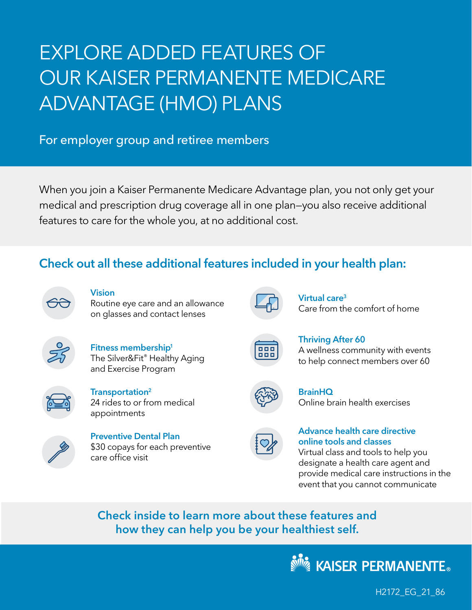# EXPLORE ADDED FEATURES OF OUR KAISER PERMANENTE MEDICARE ADVANTAGE (HMO) PLANS

#### For employer group and retiree members

When you join a Kaiser Permanente Medicare Advantage plan, you not only get your medical and prescription drug coverage all in one plan—you also receive additional features to care for the whole you, at no additional cost.

#### Check out all these additional features included in your health plan:



**Vision** 

Routine eye care and an allowance on glasses and contact lenses



Fitness membership<sup>1</sup> The Silver&Fit® Healthy Aging and Exercise Program



Transportation[2](#page-5-1) 24 rides to or from medical appointments



<span id="page-0-1"></span>Preventive Dental Plan \$30 copays for each preventive care office visit



Virtual car[e3](#page-5-2) Care from the comfort of home

<span id="page-0-2"></span>Thriving After 60

A wellness community with events to help connect members over 60

<span id="page-0-0"></span>

**BrainHQ** Online brain health exercises

#### Advance health care directive online tools and classes

Virtual class and tools to help you designate a health care agent and provide medical care instructions in the event that you cannot communicate

Check inside to learn more about these features and how they can help you be your healthiest self.



H2172\_EG\_21\_86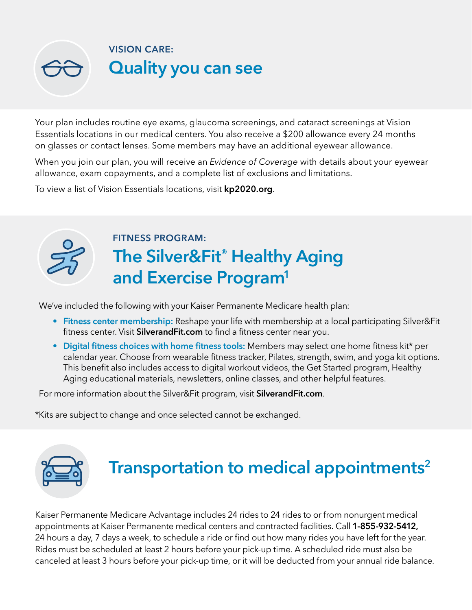

Your plan includes routine eye exams, glaucoma screenings, and cataract screenings at Vision Essentials locations in our medical centers. You also receive a \$200 allowance every 24 months on glasses or contact lenses. Some members may have an additional eyewear allowance.

When you join our plan, you will receive an Evidence of Coverage with details about your eyewear allowance, exam copayments, and a complete list of exclusions and limitations.

To view a list of Vision Essentials locations, visit **[kp2020.org](http://kp2020.org)**.



### <span id="page-1-1"></span>FITNESS PROGRAM: The Silver&Fit® Healthy Aging and Exercise Program<sup>1</sup>

We've included the following with your Kaiser Permanente Medicare health plan:

- Fitness center membership: Reshape your life with membership at a local participating Silver&Fit fitness center. Visit [SilverandFit.com](http://SilverandFit.com) to find a fitness center near you.
- Digital fitness choices with home fitness tools: Members may select one home fitness kit[\\*](#page-1-0) per calendar year. Choose from wearable fitness tracker, Pilates, strength, swim, and yoga kit options. This benefit also includes access to digital workout videos, the Get Started program, Healthy Aging educational materials, newsletters, online classes, and other helpful features.

For more information about the Silver&Fit program, visit [SilverandFit.com](http://SilverandFit.com).

<span id="page-1-0"></span>[\\*K](#page-1-1)its are subject to change and once selected cannot be exchanged.



## Transportation to medical appointments<sup>2</sup>

Kaiser Permanente Medicare Advantage includes 24 rides to 24 rides to or from nonurgent medical appointments at Kaiser Permanente medical centers and contracted facilities. Call 1-855-932-5412, 24 hours a day, 7 days a week, to schedule a ride or find out how many rides you have left for the year. Rides must be scheduled at least 2 hours before your pick-up time. A scheduled ride must also be canceled at least 3 hours before your pick-up time, or it will be deducted from your annual ride balance.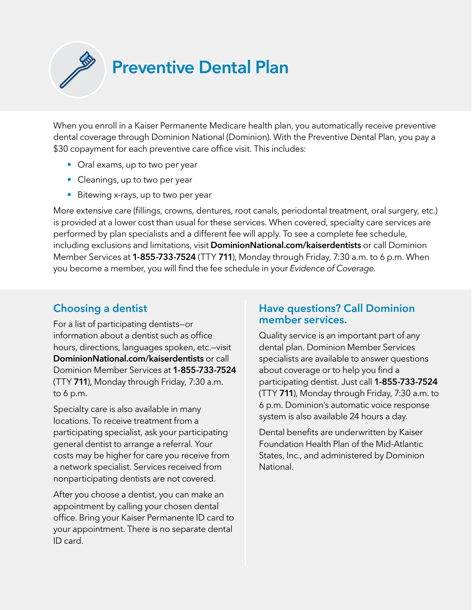When you enroll in a Kaiser Permanente Medicare health plan, you automatically receive preventive dental coverage through Dominion National (Dominion). With the Preventive Dental Plan, you pay a \$30 copayment for each preventive care office visit. This includes:

Preventive Dental Plan

- Oral exams, up to two per year
- Cleanings, up to two per year
- Bitewing x-rays, up to two per year

More extensive care (fillings, crowns, dentures, root canals, periodontal treatment, oral surgery, etc.) is provided at a lower cost than usual for these services. When covered, specialty care services are performed by plan specialists and a different fee will apply. To see a complete fee schedule, including exclusions and limitations, visit [DominionNational.com/kaiserdentists](http://DominionNational.com/kaiserdentists) or call Dominion Member Services at 1-855-733-7524 (TTY 711), Monday through Friday, 7:30 a.m. to 6 p.m. When you become a member, you will find the fee schedule in your Evidence of Coverage.

#### Choosing a dentist

For a list of participating dentists—or information about a dentist such as office hours, directions, languages spoken, etc.—visit [DominionNational.com/kaiserdentists](http://DominionNational.com/kaiserdentists) or call Dominion Member Services at 1-855-733-7524 (TTY 711), Monday through Friday, 7:30 a.m. to 6 p.m.

Specialty care is also available in many locations. To receive treatment from a participating specialist, ask your participating general dentist to arrange a referral. Your costs may be higher for care you receive from a network specialist. Services received from nonparticipating dentists are not covered.

After you choose a dentist, you can make an appointment by calling your chosen dental office. Bring your Kaiser Permanente ID card to your appointment. There is no separate dental ID card.

#### Have questions? Call Dominion member services.

Quality service is an important part of any dental plan. Dominion Member Services specialists are available to answer questions about coverage or to help you find a participating dentist. Just call 1-855-733-7524 (TTY 711), Monday through Friday, 7:30 a.m. to 6 p.m. Dominion's automatic voice response system is also available 24 hours a day.

Dental benefits are underwritten by Kaiser Foundation Health Plan of the Mid-Atlantic States, Inc., and administered by Dominion National.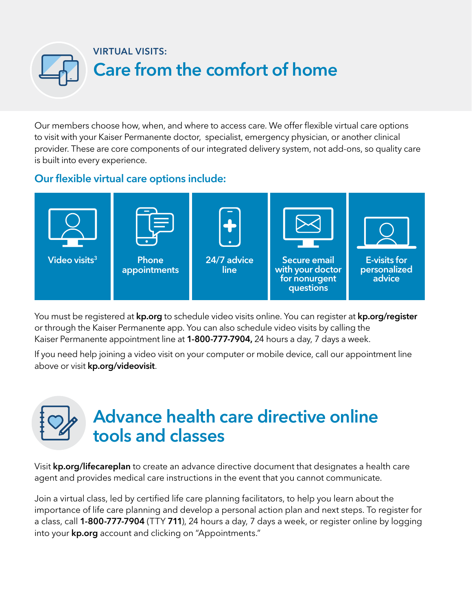

Our members choose how, when, and where to access care. We offer flexible virtual care options to visit with your Kaiser Permanente doctor, specialist, emergency physician, or another clinical provider. These are core components of our integrated delivery system, not add-ons, so quality care is built into every experience.

#### Our flexible virtual care options include:



You must be registered at [kp.org](http://kp.org) to schedule video visits online. You can register at [kp.org/register](http://kp.org/register) or through the Kaiser Permanente app. You can also schedule video visits by calling the Kaiser Permanente appointment line at 1-800-777-7904, 24 hours a day, 7 days a week.

If you need help joining a video visit on your computer or mobile device, call our appointment line above or visit [kp.org/videovisit](http://kp.org/videovisit).

### Advance health care directive online tools and classes

Visit [kp.org/lifecareplan](http://kp.org/lifecareplan) to create an advance directive document that designates a health care agent and provides medical care instructions in the event that you cannot communicate.

Join a virtual class, led by certified life care planning facilitators, to help you learn about the importance of life care planning and develop a personal action plan and next steps. To register for a class, call **1-800-777-7904** (TTY 711), 24 hours a day, 7 days a week, or register online by logging into your **[kp.org](http://kp.org)** account and clicking on "Appointments."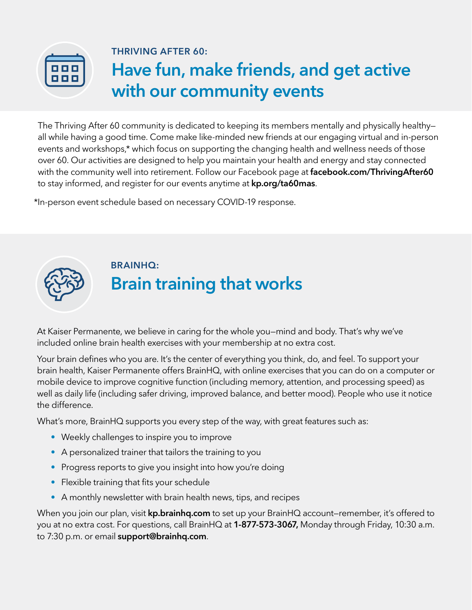

#### THRIVING AFTER 60:

## <span id="page-4-1"></span>Have fun, make friends, and get active with our community events

The Thriving After 60 community is dedicated to keeping its members mentally and physically healthy all while having a good time. Come make like-minded new friends at our engaging virtual and in-person events and workshops[,\\*](#page-4-0) which focus on supporting the changing health and wellness needs of those over 60. Our activities are designed to help you maintain your health and energy and stay connected with the community well into retirement. Follow our Facebook page at [facebook.com/ThrivingAfter60](http://facebook.com/ThrivingAfter60) to stay informed, and register for our events anytime at [kp.org/ta60mas](http://kp.org/ta60mas).

<span id="page-4-0"></span>[\\*I](#page-4-1)n-person event schedule based on necessary COVID-19 response.



### BRAINHQ: Brain training that works

At Kaiser Permanente, we believe in caring for the whole you—mind and body. That's why we've included online brain health exercises with your membership at no extra cost.

Your brain defines who you are. It's the center of everything you think, do, and feel. To support your brain health, Kaiser Permanente offers BrainHQ, with online exercises that you can do on a computer or mobile device to improve cognitive function (including memory, attention, and processing speed) as well as daily life (including safer driving, improved balance, and better mood). People who use it notice the difference.

What's more, BrainHQ supports you every step of the way, with great features such as:

- Weekly challenges to inspire you to improve
- A personalized trainer that tailors the training to you
- Progress reports to give you insight into how you're doing
- Flexible training that fits your schedule
- A monthly newsletter with brain health news, tips, and recipes

When you join our plan, visit **[kp.brainhq.com](http://kp.brainhq.com)** to set up your BrainHQ account–remember, it's offered to you at no extra cost. For questions, call BrainHQ at 1-877-573-3067, Monday through Friday, 10:30 a.m. to 7:30 p.m. or email **[support@brainhq.com](mailto:support@brainhq.com)**.